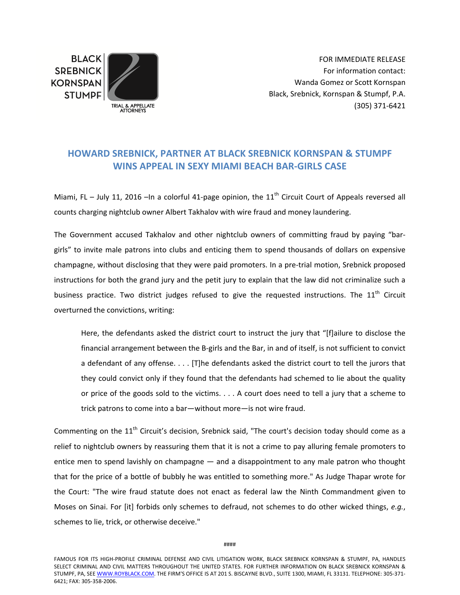**BLACK SREBNICK KORNSPAN STUMPF** 



FOR IMMEDIATE RELEASE For information contact: Wanda Gomez or Scott Kornspan Black, Srebnick, Kornspan & Stumpf, P.A. (305) 371‐6421

## **HOWARD SREBNICK, PARTNER AT BLACK SREBNICK KORNSPAN & STUMPF WINS APPEAL IN SEXY MIAMI BEACH BAR‐GIRLS CASE**

Miami, FL – July 11, 2016 –In a colorful 41-page opinion, the  $11<sup>th</sup>$  Circuit Court of Appeals reversed all counts charging nightclub owner Albert Takhalov with wire fraud and money laundering.

The Government accused Takhalov and other nightclub owners of committing fraud by paying "bargirls" to invite male patrons into clubs and enticing them to spend thousands of dollars on expensive champagne, without disclosing that they were paid promoters. In a pre‐trial motion, Srebnick proposed instructions for both the grand jury and the petit jury to explain that the law did not criminalize such a business practice. Two district judges refused to give the requested instructions. The  $11<sup>th</sup>$  Circuit overturned the convictions, writing:

Here, the defendants asked the district court to instruct the jury that "[f]ailure to disclose the financial arrangement between the B-girls and the Bar, in and of itself, is not sufficient to convict a defendant of any offense. . . . [T]he defendants asked the district court to tell the jurors that they could convict only if they found that the defendants had schemed to lie about the quality or price of the goods sold to the victims. . . . A court does need to tell a jury that a scheme to trick patrons to come into a bar—without more—is not wire fraud.

Commenting on the 11<sup>th</sup> Circuit's decision, Srebnick said, "The court's decision today should come as a relief to nightclub owners by reassuring them that it is not a crime to pay alluring female promoters to entice men to spend lavishly on champagne — and a disappointment to any male patron who thought that for the price of a bottle of bubbly he was entitled to something more." As Judge Thapar wrote for the Court: "The wire fraud statute does not enact as federal law the Ninth Commandment given to Moses on Sinai. For [it] forbids only schemes to defraud, not schemes to do other wicked things, *e.g.*, schemes to lie, trick, or otherwise deceive."

FAMOUS FOR ITS HIGH‐PROFILE CRIMINAL DEFENSE AND CIVIL LITIGATION WORK, BLACK SREBNICK KORNSPAN & STUMPF, PA, HANDLES SELECT CRIMINAL AND CIVIL MATTERS THROUGHOUT THE UNITED STATES. FOR FURTHER INFORMATION ON BLACK SREBNICK KORNSPAN & STUMPF, PA, SEE WWW.ROYBLACK.COM. THE FIRM'S OFFICE IS AT 201 S. BISCAYNE BLVD., SUITE 1300, MIAMI, FL 33131. TELEPHONE: 305-371-6421; FAX: 305‐358‐2006.